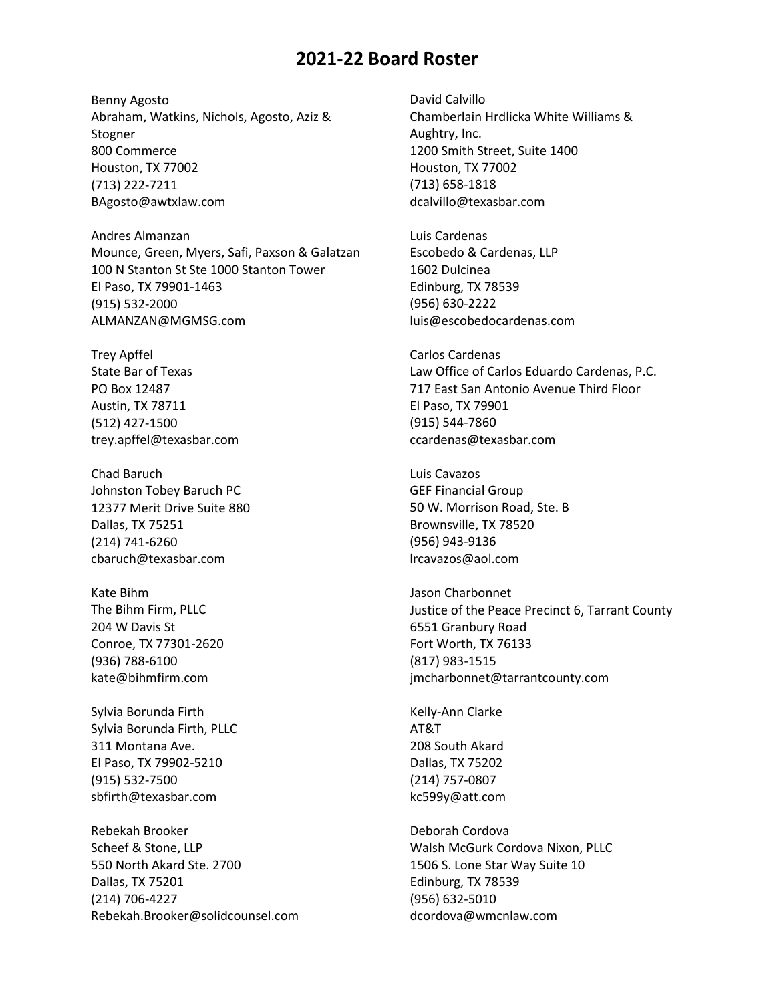Benny Agosto Abraham, Watkins, Nichols, Agosto, Aziz & Stogner 800 Commerce Houston, TX 77002 (713) 222-7211 BAgosto@awtxlaw.com

Andres Almanzan Mounce, Green, Myers, Safi, Paxson & Galatzan 100 N Stanton St Ste 1000 Stanton Tower El Paso, TX 79901-1463 (915) 532-2000 ALMANZAN@MGMSG.com

Trey Apffel State Bar of Texas PO Box 12487 Austin, TX 78711 (512) 427-1500 trey.apffel@texasbar.com

Chad Baruch Johnston Tobey Baruch PC 12377 Merit Drive Suite 880 Dallas, TX 75251 (214) 741-6260 cbaruch@texasbar.com

Kate Bihm The Bihm Firm, PLLC 204 W Davis St Conroe, TX 77301-2620 (936) 788-6100 kate@bihmfirm.com

Sylvia Borunda Firth Sylvia Borunda Firth, PLLC 311 Montana Ave. El Paso, TX 79902-5210 (915) 532-7500 sbfirth@texasbar.com

Rebekah Brooker Scheef & Stone, LLP 550 North Akard Ste. 2700 Dallas, TX 75201 (214) 706-4227 Rebekah.Brooker@solidcounsel.com

David Calvillo Chamberlain Hrdlicka White Williams & Aughtry, Inc. 1200 Smith Street, Suite 1400 Houston, TX 77002 (713) 658-1818 dcalvillo@texasbar.com

Luis Cardenas Escobedo & Cardenas, LLP 1602 Dulcinea Edinburg, TX 78539 (956) 630-2222 luis@escobedocardenas.com

Carlos Cardenas Law Office of Carlos Eduardo Cardenas, P.C. 717 East San Antonio Avenue Third Floor El Paso, TX 79901 (915) 544-7860 ccardenas@texasbar.com

Luis Cavazos GEF Financial Group 50 W. Morrison Road, Ste. B Brownsville, TX 78520 (956) 943-9136 lrcavazos@aol.com

Jason Charbonnet Justice of the Peace Precinct 6, Tarrant County 6551 Granbury Road Fort Worth, TX 76133 (817) 983-1515 jmcharbonnet@tarrantcounty.com

Kelly-Ann Clarke AT&T 208 South Akard Dallas, TX 75202 (214) 757-0807 kc599y@att.com

Deborah Cordova Walsh McGurk Cordova Nixon, PLLC 1506 S. Lone Star Way Suite 10 Edinburg, TX 78539 (956) 632-5010 dcordova@wmcnlaw.com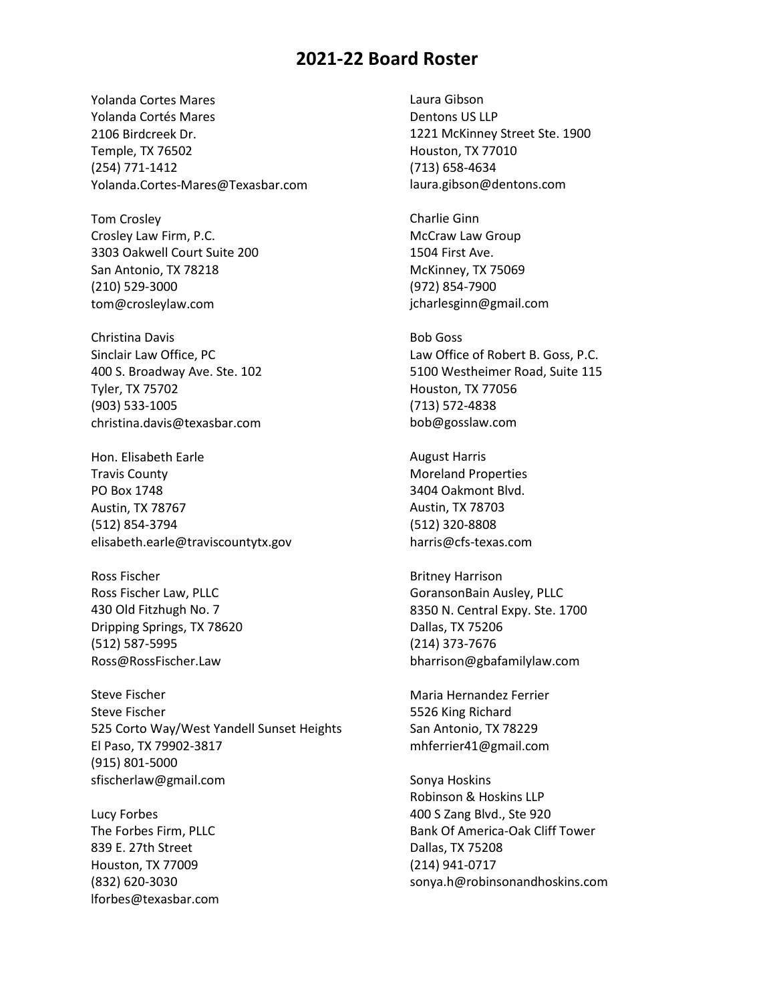Yolanda Cortes Mares Yolanda Cortés Mares 2106 Birdcreek Dr. Temple, TX 76502 (254) 771-1412 Yolanda.Cortes-Mares@Texasbar.com

Tom Crosley Crosley Law Firm, P.C. 3303 Oakwell Court Suite 200 San Antonio, TX 78218 (210) 529-3000 tom@crosleylaw.com

Christina Davis Sinclair Law Office, PC 400 S. Broadway Ave. Ste. 102 Tyler, TX 75702 (903) 533-1005 christina.davis@texasbar.com

Hon. Elisabeth Earle Travis County PO Box 1748 Austin, TX 78767 (512) 854-3794 elisabeth.earle@traviscountytx.gov

Ross Fischer Ross Fischer Law, PLLC 430 Old Fitzhugh No. 7 Dripping Springs, TX 78620 (512) 587-5995 Ross@RossFischer.Law

Steve Fischer Steve Fischer 525 Corto Way/West Yandell Sunset Heights El Paso, TX 79902-3817 (915) 801-5000 sfischerlaw@gmail.com

Lucy Forbes The Forbes Firm, PLLC 839 E. 27th Street Houston, TX 77009 (832) 620-3030 lforbes@texasbar.com

Laura Gibson Dentons US LLP 1221 McKinney Street Ste. 1900 Houston, TX 77010 (713) 658-4634 laura.gibson@dentons.com

Charlie Ginn McCraw Law Group 1504 First Ave. McKinney, TX 75069 (972) 854-7900 jcharlesginn@gmail.com

Bob Goss Law Office of Robert B. Goss, P.C. 5100 Westheimer Road, Suite 115 Houston, TX 77056 (713) 572-4838 bob@gosslaw.com

August Harris Moreland Properties 3404 Oakmont Blvd. Austin, TX 78703 (512) 320-8808 harris@cfs-texas.com

Britney Harrison GoransonBain Ausley, PLLC 8350 N. Central Expy. Ste. 1700 Dallas, TX 75206 (214) 373-7676 bharrison@gbafamilylaw.com

Maria Hernandez Ferrier 5526 King Richard San Antonio, TX 78229 mhferrier41@gmail.com

Sonya Hoskins Robinson & Hoskins LLP 400 S Zang Blvd., Ste 920 Bank Of America-Oak Cliff Tower Dallas, TX 75208 (214) 941-0717 sonya.h@robinsonandhoskins.com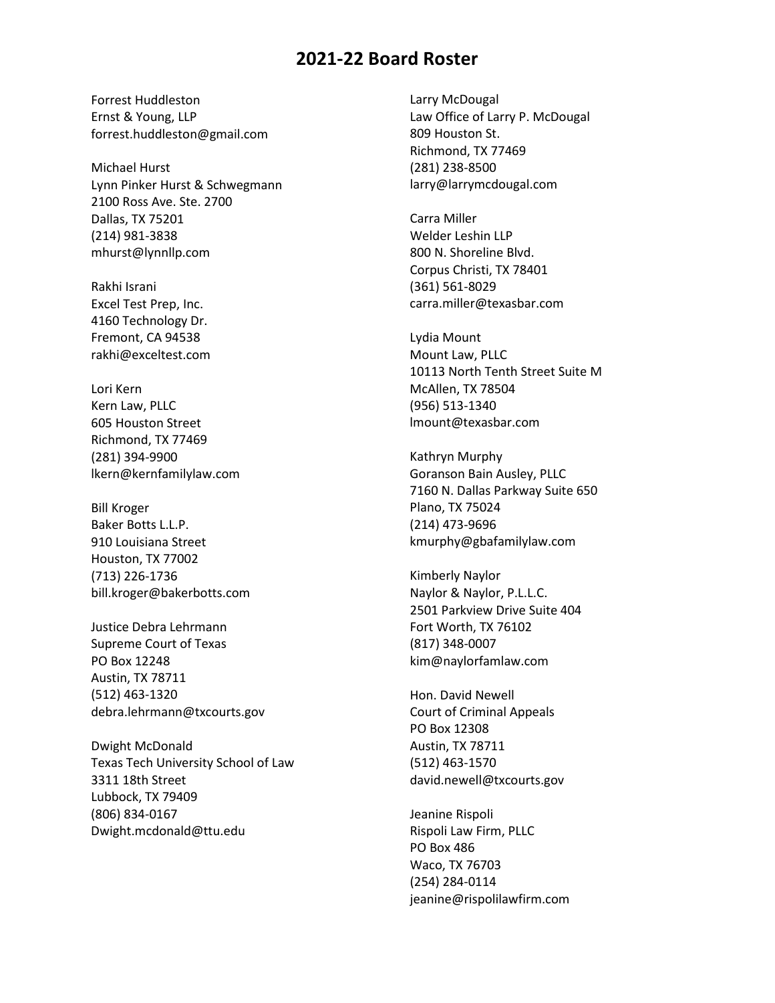Forrest Huddleston Ernst & Young, LLP forrest.huddleston@gmail.com

Michael Hurst Lynn Pinker Hurst & Schwegmann 2100 Ross Ave. Ste. 2700 Dallas, TX 75201 (214) 981-3838 mhurst@lynnllp.com

Rakhi Israni Excel Test Prep, Inc. 4160 Technology Dr. Fremont, CA 94538 rakhi@exceltest.com

Lori Kern Kern Law, PLLC 605 Houston Street Richmond, TX 77469 (281) 394-9900 lkern@kernfamilylaw.com

Bill Kroger Baker Botts L.L.P. 910 Louisiana Street Houston, TX 77002 (713) 226-1736 bill.kroger@bakerbotts.com

Justice Debra Lehrmann Supreme Court of Texas PO Box 12248 Austin, TX 78711 (512) 463-1320 debra.lehrmann@txcourts.gov

Dwight McDonald Texas Tech University School of Law 3311 18th Street Lubbock, TX 79409 (806) 834-0167 Dwight.mcdonald@ttu.edu

Larry McDougal Law Office of Larry P. McDougal 809 Houston St. Richmond, TX 77469 (281) 238-8500 larry@larrymcdougal.com

Carra Miller Welder Leshin LLP 800 N. Shoreline Blvd. Corpus Christi, TX 78401 (361) 561-8029 carra.miller@texasbar.com

Lydia Mount Mount Law, PLLC 10113 North Tenth Street Suite M McAllen, TX 78504 (956) 513-1340 lmount@texasbar.com

Kathryn Murphy Goranson Bain Ausley, PLLC 7160 N. Dallas Parkway Suite 650 Plano, TX 75024 (214) 473-9696 kmurphy@gbafamilylaw.com

Kimberly Naylor Naylor & Naylor, P.L.L.C. 2501 Parkview Drive Suite 404 Fort Worth, TX 76102 (817) 348-0007 kim@naylorfamlaw.com

Hon. David Newell Court of Criminal Appeals PO Box 12308 Austin, TX 78711 (512) 463-1570 david.newell@txcourts.gov

Jeanine Rispoli Rispoli Law Firm, PLLC PO Box 486 Waco, TX 76703 (254) 284-0114 jeanine@rispolilawfirm.com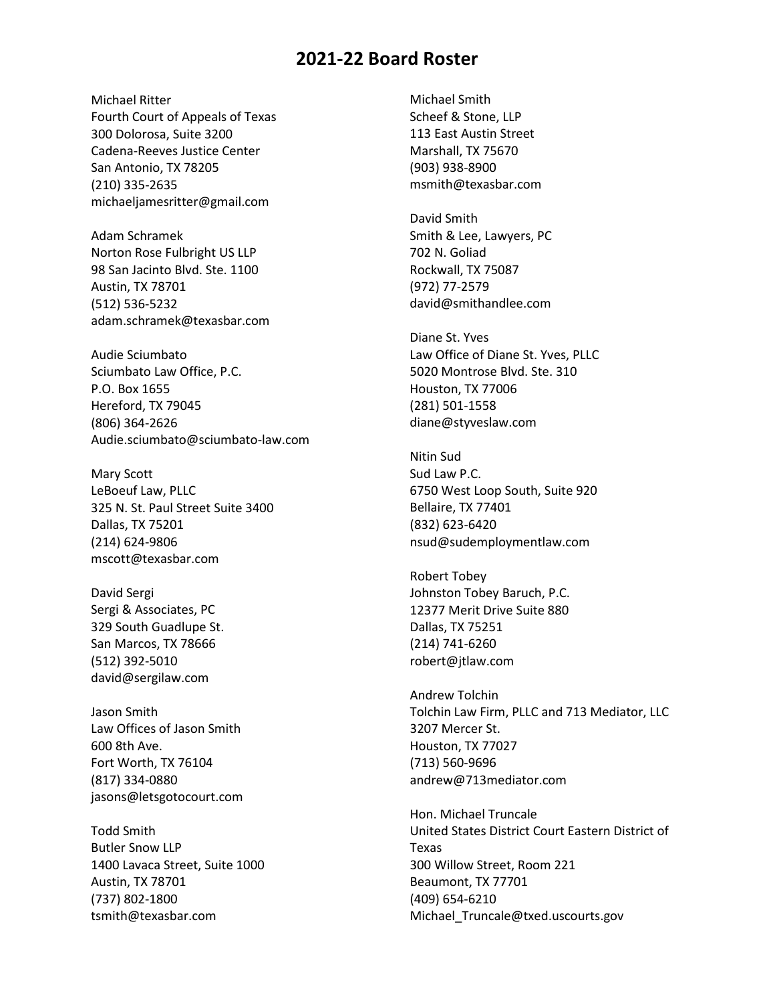Michael Ritter Fourth Court of Appeals of Texas 300 Dolorosa, Suite 3200 Cadena-Reeves Justice Center San Antonio, TX 78205 (210) 335-2635 michaeljamesritter@gmail.com

Adam Schramek Norton Rose Fulbright US LLP 98 San Jacinto Blvd. Ste. 1100 Austin, TX 78701 (512) 536-5232 adam.schramek@texasbar.com

Audie Sciumbato Sciumbato Law Office, P.C. P.O. Box 1655 Hereford, TX 79045 (806) 364-2626 Audie.sciumbato@sciumbato-law.com

Mary Scott LeBoeuf Law, PLLC 325 N. St. Paul Street Suite 3400 Dallas, TX 75201 (214) 624-9806 mscott@texasbar.com

David Sergi Sergi & Associates, PC 329 South Guadlupe St. San Marcos, TX 78666 (512) 392-5010 david@sergilaw.com

Jason Smith Law Offices of Jason Smith 600 8th Ave. Fort Worth, TX 76104 (817) 334-0880 jasons@letsgotocourt.com

Todd Smith Butler Snow LLP 1400 Lavaca Street, Suite 1000 Austin, TX 78701 (737) 802-1800 tsmith@texasbar.com

Michael Smith Scheef & Stone, LLP 113 East Austin Street Marshall, TX 75670 (903) 938-8900 msmith@texasbar.com

David Smith Smith & Lee, Lawyers, PC 702 N. Goliad Rockwall, TX 75087 (972) 77-2579 david@smithandlee.com

Diane St. Yves Law Office of Diane St. Yves, PLLC 5020 Montrose Blvd. Ste. 310 Houston, TX 77006 (281) 501-1558 diane@styveslaw.com

Nitin Sud Sud Law P.C. 6750 West Loop South, Suite 920 Bellaire, TX 77401 (832) 623-6420 nsud@sudemploymentlaw.com

Robert Tobey Johnston Tobey Baruch, P.C. 12377 Merit Drive Suite 880 Dallas, TX 75251 (214) 741-6260 robert@jtlaw.com

Andrew Tolchin Tolchin Law Firm, PLLC and 713 Mediator, LLC 3207 Mercer St. Houston, TX 77027 (713) 560-9696 andrew@713mediator.com

Hon. Michael Truncale United States District Court Eastern District of Texas 300 Willow Street, Room 221 Beaumont, TX 77701 (409) 654-6210 Michael\_Truncale@txed.uscourts.gov